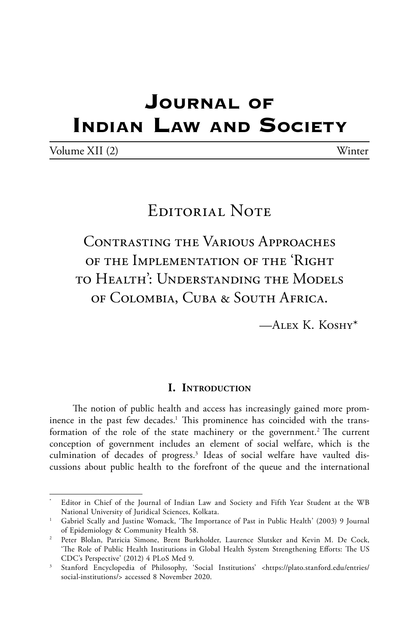# **Journal of Indian Law and Society**

| Volume XII (2) | Winter |
|----------------|--------|
|----------------|--------|

# EDITORIAL NOTE

Contrasting the Various Approaches of the Implementation of the 'Right to Health': Understanding the Models of Colombia, Cuba & South Africa.

 $-A$ LEX K. KOSHY<sup>\*</sup>

#### **I. Introduction**

The notion of public health and access has increasingly gained more prominence in the past few decades.<sup>1</sup> This prominence has coincided with the transformation of the role of the state machinery or the government.<sup>2</sup> The current conception of government includes an element of social welfare, which is the culmination of decades of progress.3 Ideas of social welfare have vaulted discussions about public health to the forefront of the queue and the international

Editor in Chief of the Journal of Indian Law and Society and Fifth Year Student at the WB National University of Juridical Sciences, Kolkata.

<sup>&</sup>lt;sup>1</sup> Gabriel Scally and Justine Womack, 'The Importance of Past in Public Health' (2003) 9 Journal of Epidemiology & Community Health 58.

<sup>2</sup> Peter Blolan, Patricia Simone, Brent Burkholder, Laurence Slutsker and Kevin M. De Cock, 'The Role of Public Health Institutions in Global Health System Strengthening Efforts: The US CDC's Perspective' (2012) 4 PLoS Med 9.

<sup>&</sup>lt;sup>3</sup> Stanford Encyclopedia of Philosophy, 'Social Institutions' <https://plato.stanford.edu/entries/ social-institutions/> accessed 8 November 2020.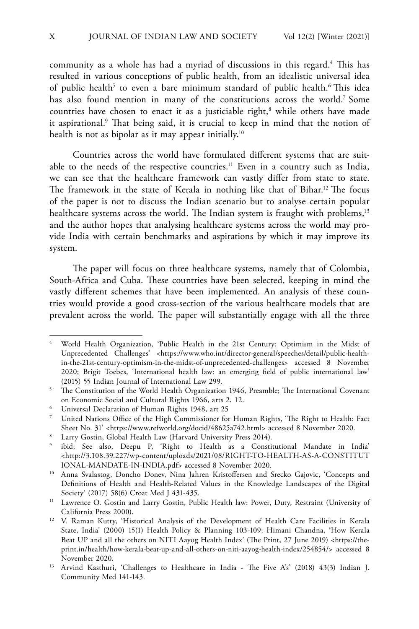community as a whole has had a myriad of discussions in this regard.<sup>4</sup> This has resulted in various conceptions of public health, from an idealistic universal idea of public health<sup>5</sup> to even a bare minimum standard of public health.<sup>6</sup> This idea has also found mention in many of the constitutions across the world.7 Some countries have chosen to enact it as a justiciable right,<sup>8</sup> while others have made it aspirational.<sup>9</sup> That being said, it is crucial to keep in mind that the notion of health is not as bipolar as it may appear initially.<sup>10</sup>

Countries across the world have formulated different systems that are suitable to the needs of the respective countries.<sup>11</sup> Even in a country such as India, we can see that the healthcare framework can vastly differ from state to state. The framework in the state of Kerala in nothing like that of Bihar.<sup>12</sup> The focus of the paper is not to discuss the Indian scenario but to analyse certain popular healthcare systems across the world. The Indian system is fraught with problems,<sup>13</sup> and the author hopes that analysing healthcare systems across the world may provide India with certain benchmarks and aspirations by which it may improve its system.

The paper will focus on three healthcare systems, namely that of Colombia, South-Africa and Cuba. These countries have been selected, keeping in mind the vastly different schemes that have been implemented. An analysis of these countries would provide a good cross-section of the various healthcare models that are prevalent across the world. The paper will substantially engage with all the three

<sup>4</sup> World Health Organization, 'Public Health in the 21st Century: Optimism in the Midst of Unprecedented Challenges' <https://www.who.int/director-general/speeches/detail/public-healthin-the-21st-century-optimism-in-the-midst-of-unprecedented-challenges> accessed 8 November 2020; Brigit Toebes, 'International health law: an emerging field of public international law' (2015) 55 Indian Journal of International Law 299.

<sup>&</sup>lt;sup>5</sup> The Constitution of the World Health Organization 1946, Preamble; The International Covenant on Economic Social and Cultural Rights 1966, arts 2, 12.

<sup>6</sup> Universal Declaration of Human Rights 1948, art 25

<sup>7</sup> United Nations Office of the High Commissioner for Human Rights, 'The Right to Health: Fact Sheet No. 31' <https://www.refworld.org/docid/48625a742.html> accessed 8 November 2020.

<sup>8</sup> Larry Gostin, Global Health Law (Harvard University Press 2014).

<sup>9</sup> ibid; See also, Deepu P, 'Right to Health as a Constitutional Mandate in India' <http://3.108.39.227/wp-content/uploads/2021/08/RIGHT-TO-HEALTH-AS-A-CONSTITUT IONAL-MANDATE-IN-INDIA.pdf> accessed 8 November 2020.

<sup>10</sup> Anna Svalastog, Doncho Donev, Nina Jahren Kristoffersen and Srecko Gajovic, 'Concepts and Definitions of Health and Health-Related Values in the Knowledge Landscapes of the Digital Society' (2017) 58(6) Croat Med J 431-435.

<sup>&</sup>lt;sup>11</sup> Lawrence O. Gostin and Larry Gostin, Public Health law: Power, Duty, Restraint (University of California Press 2000).

<sup>&</sup>lt;sup>12</sup> V. Raman Kutty, 'Historical Analysis of the Development of Health Care Facilities in Kerala State, India' (2000) 15(1) Health Policy & Planning 103-109; Himani Chandna, 'How Kerala Beat UP and all the others on NITI Aayog Health Index' (The Print, 27 June 2019) <https://theprint.in/health/how-kerala-beat-up-and-all-others-on-niti-aayog-health-index/254854/> accessed 8 November 2020.

<sup>&</sup>lt;sup>13</sup> Arvind Kasthuri, 'Challenges to Healthcare in India - The Five A's' (2018) 43(3) Indian J. Community Med 141-143.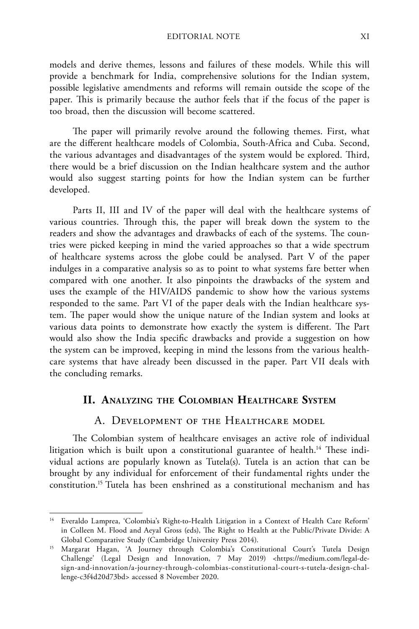models and derive themes, lessons and failures of these models. While this will provide a benchmark for India, comprehensive solutions for the Indian system, possible legislative amendments and reforms will remain outside the scope of the paper. This is primarily because the author feels that if the focus of the paper is too broad, then the discussion will become scattered.

The paper will primarily revolve around the following themes. First, what are the different healthcare models of Colombia, South-Africa and Cuba. Second, the various advantages and disadvantages of the system would be explored. Third, there would be a brief discussion on the Indian healthcare system and the author would also suggest starting points for how the Indian system can be further developed.

Parts II, III and IV of the paper will deal with the healthcare systems of various countries. Through this, the paper will break down the system to the readers and show the advantages and drawbacks of each of the systems. The countries were picked keeping in mind the varied approaches so that a wide spectrum of healthcare systems across the globe could be analysed. Part V of the paper indulges in a comparative analysis so as to point to what systems fare better when compared with one another. It also pinpoints the drawbacks of the system and uses the example of the HIV/AIDS pandemic to show how the various systems responded to the same. Part VI of the paper deals with the Indian healthcare system. The paper would show the unique nature of the Indian system and looks at various data points to demonstrate how exactly the system is different. The Part would also show the India specific drawbacks and provide a suggestion on how the system can be improved, keeping in mind the lessons from the various healthcare systems that have already been discussed in the paper. Part VII deals with the concluding remarks.

#### **II. Analyzing the Colombian Healthcare System**

#### A. Development of the Healthcare model

The Colombian system of healthcare envisages an active role of individual litigation which is built upon a constitutional guarantee of health.<sup>14</sup> These individual actions are popularly known as Tutela(s). Tutela is an action that can be brought by any individual for enforcement of their fundamental rights under the constitution.15 Tutela has been enshrined as a constitutional mechanism and has

<sup>&</sup>lt;sup>14</sup> Everaldo Lamprea, 'Colombia's Right-to-Health Litigation in a Context of Health Care Reform' in Colleen M. Flood and Aeyal Gross (eds), The Right to Health at the Public/Private Divide: A Global Comparative Study (Cambridge University Press 2014).

<sup>&</sup>lt;sup>15</sup> Margarat Hagan, 'A Journey through Colombia's Constitutional Court's Tutela Design Challenge' (Legal Design and Innovation, 7 May 2019) <https://medium.com/legal-design-and-innovation/a-journey-through-colombias-constitutional-court-s-tutela-design-challenge-c3f4d20d73bd> accessed 8 November 2020.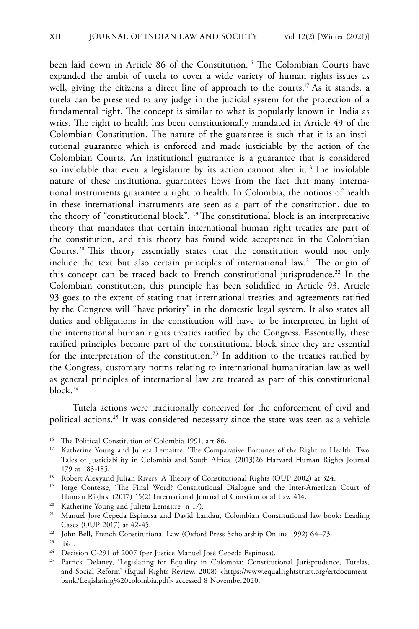been laid down in Article 86 of the Constitution.<sup>16</sup> The Colombian Courts have expanded the ambit of tutela to cover a wide variety of human rights issues as well, giving the citizens a direct line of approach to the courts.<sup>17</sup> As it stands, a tutela can be presented to any judge in the judicial system for the protection of a fundamental right. The concept is similar to what is popularly known in India as writs. The right to health has been constitutionally mandated in Article 49 of the Colombian Constitution. The nature of the guarantee is such that it is an institutional guarantee which is enforced and made justiciable by the action of the Colombian Courts. An institutional guarantee is a guarantee that is considered so inviolable that even a legislature by its action cannot alter it.<sup>18</sup> The inviolable nature of these institutional guarantees flows from the fact that many international instruments guarantee a right to health. In Colombia, the notions of health in these international instruments are seen as a part of the constitution, due to the theory of "constitutional block". 19 The constitutional block is an interpretative theory that mandates that certain international human right treaties are part of the constitution, and this theory has found wide acceptance in the Colombian Courts.20 This theory essentially states that the constitution would not only include the text but also certain principles of international law.<sup>21</sup> The origin of this concept can be traced back to French constitutional jurisprudence.<sup>22</sup> In the Colombian constitution, this principle has been solidified in Article 93. Article 93 goes to the extent of stating that international treaties and agreements ratified by the Congress will "have priority" in the domestic legal system. It also states all duties and obligations in the constitution will have to be interpreted in light of the international human rights treaties ratified by the Congress. Essentially, these ratified principles become part of the constitutional block since they are essential for the interpretation of the constitution.<sup>23</sup> In addition to the treaties ratified by the Congress, customary norms relating to international humanitarian law as well as general principles of international law are treated as part of this constitutional  $block<sub>24</sub>$ 

Tutela actions were traditionally conceived for the enforcement of civil and political actions.25 It was considered necessary since the state was seen as a vehicle

<sup>&</sup>lt;sup>16</sup> The Political Constitution of Colombia 1991, art 86.<br><sup>17</sup> Katherine Young and Juliete Lameitre, 'The Compa

<sup>17</sup> Katherine Young and Julieta Lemaitre, 'The Comparative Fortunes of the Right to Health: Two Tales of Justiciability in Colombia and South Africa' (2013)26 Harvard Human Rights Journal 179 at 183-185.

<sup>&</sup>lt;sup>18</sup> Robert Alexyand Julian Rivers, A Theory of Constitutional Rights (OUP 2002) at 324.

<sup>&</sup>lt;sup>19</sup> Jorge Contesse, 'The Final Word? Constitutional Dialogue and the Inter-American Court of Human Rights' (2017) 15(2) International Journal of Constitutional Law 414.

<sup>&</sup>lt;sup>20</sup> Katherine Young and Julieta Lemaitre (n 17).

<sup>21</sup> Manuel Jose Cepeda Espinosa and David Landau, Colombian Constitutional law book: Leading Cases (OUP 2017) at 42-45.

<sup>&</sup>lt;sup>22</sup> John Bell, French Constitutional Law (Oxford Press Scholarship Online 1992) 64-73.

<sup>23</sup> ibid.

<sup>&</sup>lt;sup>24</sup> Decision C-291 of 2007 (per Justice Manuel José Cepeda Espinosa).

<sup>25</sup> Patrick Delaney, 'Legislating for Equality in Colombia: Constitutional Jurisprudence, Tutelas, and Social Reform' (Equal Rights Review, 2008) <https://www.equalrightstrust.org/ertdocumentbank/Legislating%20colombia.pdf> accessed 8 November2020.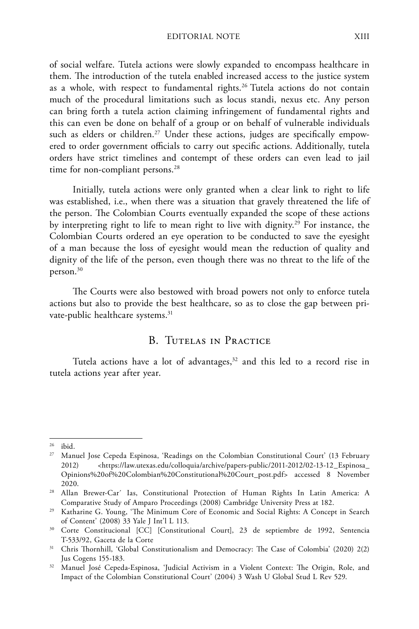of social welfare. Tutela actions were slowly expanded to encompass healthcare in them. The introduction of the tutela enabled increased access to the justice system as a whole, with respect to fundamental rights.<sup>26</sup> Tutela actions do not contain much of the procedural limitations such as locus standi, nexus etc. Any person can bring forth a tutela action claiming infringement of fundamental rights and this can even be done on behalf of a group or on behalf of vulnerable individuals such as elders or children.<sup>27</sup> Under these actions, judges are specifically empowered to order government officials to carry out specific actions. Additionally, tutela orders have strict timelines and contempt of these orders can even lead to jail time for non-compliant persons.<sup>28</sup>

Initially, tutela actions were only granted when a clear link to right to life was established, i.e., when there was a situation that gravely threatened the life of the person. The Colombian Courts eventually expanded the scope of these actions by interpreting right to life to mean right to live with dignity.<sup>29</sup> For instance, the Colombian Courts ordered an eye operation to be conducted to save the eyesight of a man because the loss of eyesight would mean the reduction of quality and dignity of the life of the person, even though there was no threat to the life of the person.30

The Courts were also bestowed with broad powers not only to enforce tutela actions but also to provide the best healthcare, so as to close the gap between private-public healthcare systems.<sup>31</sup>

#### B. Tutelas in Practice

Tutela actions have a lot of advantages, $32$  and this led to a record rise in tutela actions year after year.

<sup>26</sup> ibid.

<sup>27</sup> Manuel Jose Cepeda Espinosa, 'Readings on the Colombian Constitutional Court' (13 February 2012) <https://law.utexas.edu/colloquia/archive/papers-public/2011-2012/02-13-12\_Espinosa\_ Opinions%20of%20Colombian%20Constitutional%20Court\_post.pdf> accessed 8 November 2020.

<sup>28</sup> Allan Brewer-Car´ Ias, Constitutional Protection of Human Rights In Latin America: A Comparative Study of Amparo Proceedings (2008) Cambridge University Press at 182.

<sup>29</sup> Katharine G. Young, 'The Minimum Core of Economic and Social Rights: A Concept in Search of Content' (2008) 33 Yale J Int'l L 113.

<sup>&</sup>lt;sup>30</sup> Corte Constitucional [CC] [Constitutional Court], 23 de septiembre de 1992, Sentencia T-533/92, Gaceta de la Corte

<sup>31</sup> Chris Thornhill, 'Global Constitutionalism and Democracy: The Case of Colombia' (2020) 2(2) Jus Cogens 155-183.

<sup>&</sup>lt;sup>32</sup> Manuel José Cepeda-Espinosa, 'Judicial Activism in a Violent Context: The Origin, Role, and Impact of the Colombian Constitutional Court' (2004) 3 Wash U Global Stud L Rev 529.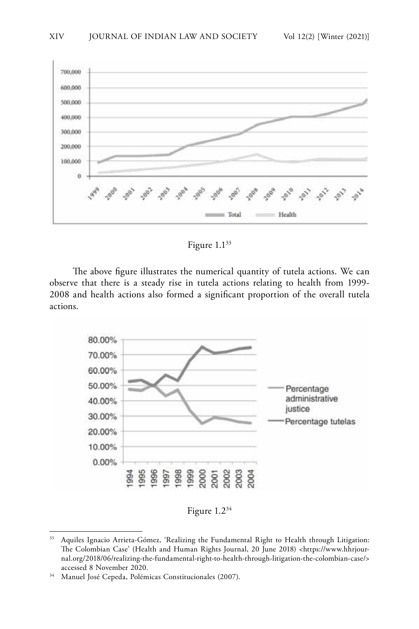

Figure 1.133

The above figure illustrates the numerical quantity of tutela actions. We can observe that there is a steady rise in tutela actions relating to health from 1999- 2008 and health actions also formed a significant proportion of the overall tutela actions.



Figure 1.234

<sup>&</sup>lt;sup>33</sup> Aquiles Ignacio Arrieta-Gómez, 'Realizing the Fundamental Right to Health through Litigation: The Colombian Case' (Health and Human Rights Journal, 20 June 2018) <https://www.hhrjournal.org/2018/06/realizing-the-fundamental-right-to-health-through-litigation-the-colombian-case/> accessed 8 November 2020.

<sup>34</sup> Manuel José Cepeda, Polémicas Constitucionales (2007).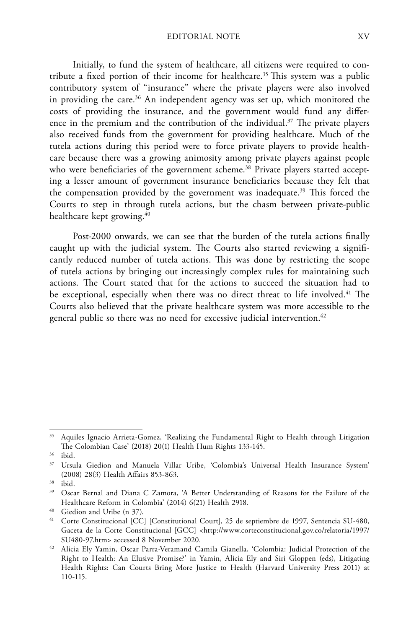Initially, to fund the system of healthcare, all citizens were required to contribute a fixed portion of their income for healthcare.35 This system was a public contributory system of "insurance" where the private players were also involved in providing the care.<sup>36</sup> An independent agency was set up, which monitored the costs of providing the insurance, and the government would fund any difference in the premium and the contribution of the individual.<sup>37</sup> The private players also received funds from the government for providing healthcare. Much of the tutela actions during this period were to force private players to provide healthcare because there was a growing animosity among private players against people who were beneficiaries of the government scheme.<sup>38</sup> Private players started accepting a lesser amount of government insurance beneficiaries because they felt that the compensation provided by the government was inadequate.<sup>39</sup> This forced the Courts to step in through tutela actions, but the chasm between private-public healthcare kept growing.<sup>40</sup>

Post-2000 onwards, we can see that the burden of the tutela actions finally caught up with the judicial system. The Courts also started reviewing a significantly reduced number of tutela actions. This was done by restricting the scope of tutela actions by bringing out increasingly complex rules for maintaining such actions. The Court stated that for the actions to succeed the situation had to be exceptional, especially when there was no direct threat to life involved.<sup>41</sup> The Courts also believed that the private healthcare system was more accessible to the general public so there was no need for excessive judicial intervention.<sup>42</sup>

<sup>&</sup>lt;sup>35</sup> Aquiles Ignacio Arrieta-Gomez, 'Realizing the Fundamental Right to Health through Litigation The Colombian Case' (2018) 20(1) Health Hum Rights 133-145.

<sup>36</sup> ibid.

<sup>37</sup> Ursula Giedion and Manuela Villar Uribe, 'Colombia's Universal Health Insurance System' (2008) 28(3) Health Affairs 853-863.

<sup>38</sup> ibid.

<sup>&</sup>lt;sup>39</sup> Oscar Bernal and Diana C Zamora, 'A Better Understanding of Reasons for the Failure of the Healthcare Reform in Colombia' (2014) 6(21) Health 2918.

<sup>40</sup> Giedion and Uribe (n 37).

<sup>&</sup>lt;sup>41</sup> Corte Constitucional [CC] [Constitutional Court], 25 de septiembre de 1997, Sentencia SU-480, Gaceta de la Corte Constitucional [GCC] <http://www.corteconstitucional.gov.co/relatoria/1997/ SU480-97.htm> accessed 8 November 2020.

<sup>42</sup> Alicia Ely Yamin, Oscar Parra-Veramand Camila Gianella, 'Colombia: Judicial Protection of the Right to Health: An Elusive Promise?' in Yamin, Alicia Ely and Siri Gloppen (eds), Litigating Health Rights: Can Courts Bring More Justice to Health (Harvard University Press 2011) at 110-115.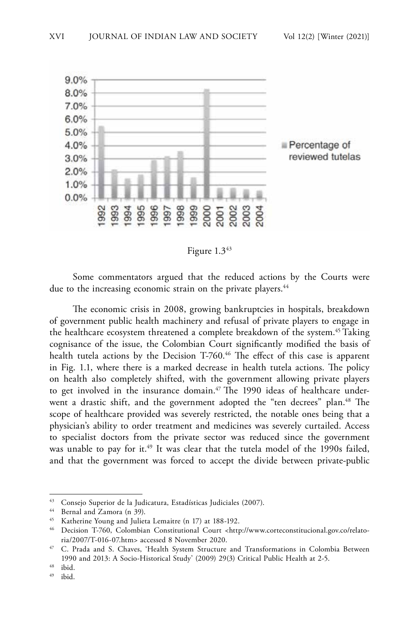

Figure 1.343

Some commentators argued that the reduced actions by the Courts were due to the increasing economic strain on the private players.<sup>44</sup>

The economic crisis in 2008, growing bankruptcies in hospitals, breakdown of government public health machinery and refusal of private players to engage in the healthcare ecosystem threatened a complete breakdown of the system.<sup>45</sup> Taking cognisance of the issue, the Colombian Court significantly modified the basis of health tutela actions by the Decision T-760.<sup>46</sup> The effect of this case is apparent in Fig. 1.1, where there is a marked decrease in health tutela actions. The policy on health also completely shifted, with the government allowing private players to get involved in the insurance domain.<sup>47</sup> The 1990 ideas of healthcare underwent a drastic shift, and the government adopted the "ten decrees" plan.<sup>48</sup> The scope of healthcare provided was severely restricted, the notable ones being that a physician's ability to order treatment and medicines was severely curtailed. Access to specialist doctors from the private sector was reduced since the government was unable to pay for it.<sup>49</sup> It was clear that the tutela model of the 1990s failed, and that the government was forced to accept the divide between private-public

<sup>43</sup> Consejo Superior de la Judicatura, Estadísticas Judiciales (2007).

<sup>44</sup> Bernal and Zamora (n 39).

<sup>45</sup> Katherine Young and Julieta Lemaitre (n 17) at 188-192.

<sup>46</sup> Decision T-760, Colombian Constitutional Court <http://www.corteconstitucional.gov.co/relatoria/2007/T-016-07.htm> accessed 8 November 2020.

<sup>47</sup> C. Prada and S. Chaves, 'Health System Structure and Transformations in Colombia Between 1990 and 2013: A Socio-Historical Study' (2009) 29(3) Critical Public Health at 2-5.

 $^{48}$  ibid.<br> $^{49}$  :1:1

ibid.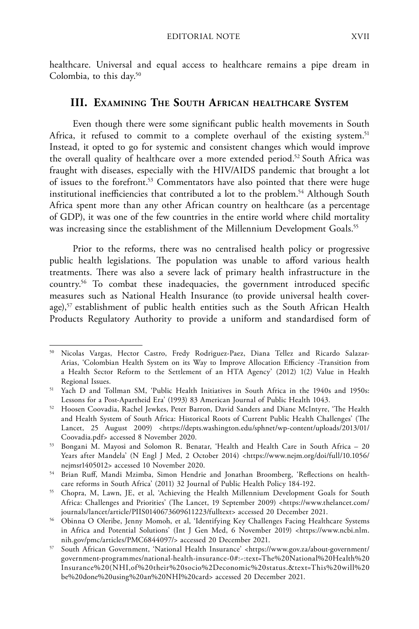healthcare. Universal and equal access to healthcare remains a pipe dream in Colombia, to this day.50

#### **III. Examining The South African healthcare System**

Even though there were some significant public health movements in South Africa, it refused to commit to a complete overhaul of the existing system.<sup>51</sup> Instead, it opted to go for systemic and consistent changes which would improve the overall quality of healthcare over a more extended period.<sup>52</sup> South Africa was fraught with diseases, especially with the HIV/AIDS pandemic that brought a lot of issues to the forefront.<sup>53</sup> Commentators have also pointed that there were huge institutional inefficiencies that contributed a lot to the problem.<sup>54</sup> Although South Africa spent more than any other African country on healthcare (as a percentage of GDP), it was one of the few countries in the entire world where child mortality was increasing since the establishment of the Millennium Development Goals.<sup>55</sup>

Prior to the reforms, there was no centralised health policy or progressive public health legislations. The population was unable to afford various health treatments. There was also a severe lack of primary health infrastructure in the country.56 To combat these inadequacies, the government introduced specific measures such as National Health Insurance (to provide universal health coverage),<sup>57</sup> establishment of public health entities such as the South African Health Products Regulatory Authority to provide a uniform and standardised form of

<sup>50</sup> Nicolas Vargas, Hector Castro, Fredy Rodriguez-Paez, Diana Tellez and Ricardo Salazar-Arias, 'Colombian Health System on its Way to Improve Allocation Efficiency -Transition from a Health Sector Reform to the Settlement of an HTA Agency' (2012) 1(2) Value in Health Regional Issues.

<sup>51</sup> Yach D and Tollman SM, 'Public Health Initiatives in South Africa in the 1940s and 1950s: Lessons for a Post-Apartheid Era' (1993) 83 American Journal of Public Health 1043.

<sup>52</sup> Hoosen Coovadia, Rachel Jewkes, Peter Barron, David Sanders and Diane McIntyre, 'The Health and Health System of South Africa: Historical Roots of Current Public Health Challenges' (The Lancet, 25 August 2009) <https://depts.washington.edu/sphnet/wp-content/uploads/2013/01/ Coovadia.pdf> accessed 8 November 2020.

<sup>53</sup> Bongani M. Mayosi and Solomon R. Benatar, 'Health and Health Care in South Africa – 20 Years after Mandela' (N Engl J Med, 2 October 2014) <https://www.nejm.org/doi/full/10.1056/ nejmsr1405012> accessed 10 November 2020.

<sup>54</sup> Brian Ruff, Mandi Mzimba, Simon Hendrie and Jonathan Broomberg, 'Reflections on healthcare reforms in South Africa' (2011) 32 Journal of Public Health Policy 184-192.

<sup>55</sup> Chopra, M, Lawn, JE, et al, 'Achieving the Health Millennium Development Goals for South Africa: Challenges and Priorities' (The Lancet, 19 September 2009) <https://www.thelancet.com/ journals/lancet/article/PIIS0140673609611223/fulltext> accessed 20 December 2021.

<sup>56</sup> Obinna O Oleribe, Jenny Momoh, et al, 'Identifying Key Challenges Facing Healthcare Systems in Africa and Potential Solutions' (Int J Gen Med, 6 November 2019) <https://www.ncbi.nlm. nih.gov/pmc/articles/PMC6844097/> accessed 20 December 2021.

<sup>57</sup> South African Government, 'National Health Insurance' <https://www.gov.za/about-government/ government-programmes/national-health-insurance-0#:~:text=The%20National%20Health%20 Insurance%20(NHI,of%20their%20socio%2Deconomic%20status.&text=This%20will%20 be%20done%20using%20an%20NHI%20card> accessed 20 December 2021.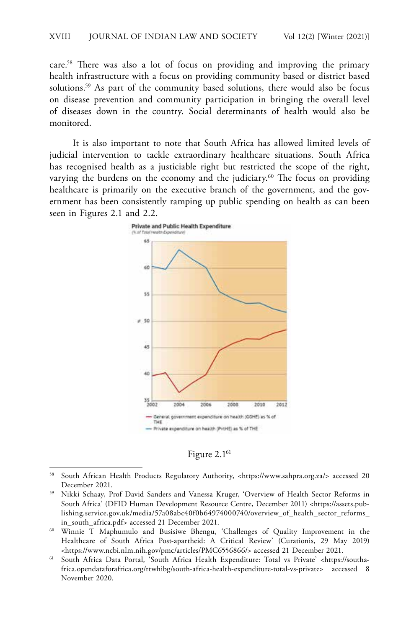care.58 There was also a lot of focus on providing and improving the primary health infrastructure with a focus on providing community based or district based solutions.<sup>59</sup> As part of the community based solutions, there would also be focus on disease prevention and community participation in bringing the overall level of diseases down in the country. Social determinants of health would also be monitored.

It is also important to note that South Africa has allowed limited levels of judicial intervention to tackle extraordinary healthcare situations. South Africa has recognised health as a justiciable right but restricted the scope of the right, varying the burdens on the economy and the judiciary.<sup>60</sup> The focus on providing healthcare is primarily on the executive branch of the government, and the government has been consistently ramping up public spending on health as can been seen in Figures 2.1 and 2.2.



Figure 2.1<sup>61</sup>

<sup>58</sup> South African Health Products Regulatory Authority, <https://www.sahpra.org.za/> accessed 20 December 2021.

<sup>59</sup> Nikki Schaay, Prof David Sanders and Vanessa Kruger, 'Overview of Health Sector Reforms in South Africa' (DFID Human Development Resource Centre, December 2011) <https://assets.publishing.service.gov.uk/media/57a08abc40f0b64974000740/overview\_of\_health\_sector\_reforms\_ in\_south\_africa.pdf> accessed 21 December 2021.

<sup>60</sup> Winnie T Maphumulo and Busisiwe Bhengu, 'Challenges of Quality Improvement in the Healthcare of South Africa Post-apartheid: A Critical Review' (Curationis, 29 May 2019) <https://www.ncbi.nlm.nih.gov/pmc/articles/PMC6556866/> accessed 21 December 2021.

<sup>61</sup> South Africa Data Portal, 'South Africa Health Expenditure: Total vs Private' <https://southafrica.opendataforafrica.org/rtwhibg/south-africa-health-expenditure-total-vs-private> accessed 8 November 2020.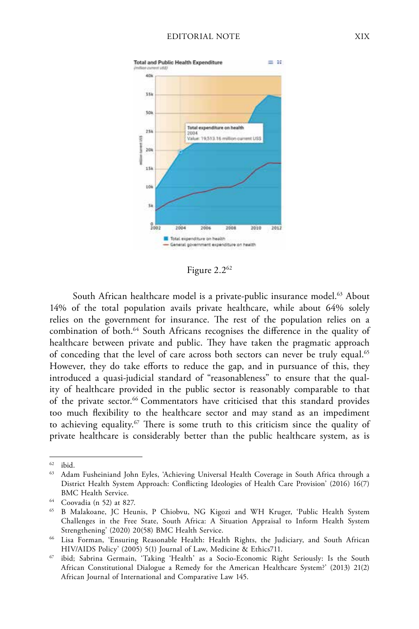

Figure 2.262

South African healthcare model is a private-public insurance model.<sup>63</sup> About 14% of the total population avails private healthcare, while about 64% solely relies on the government for insurance. The rest of the population relies on a combination of both.64 South Africans recognises the difference in the quality of healthcare between private and public. They have taken the pragmatic approach of conceding that the level of care across both sectors can never be truly equal.<sup>65</sup> However, they do take efforts to reduce the gap, and in pursuance of this, they introduced a quasi-judicial standard of "reasonableness" to ensure that the quality of healthcare provided in the public sector is reasonably comparable to that of the private sector.<sup>66</sup> Commentators have criticised that this standard provides too much flexibility to the healthcare sector and may stand as an impediment to achieving equality.<sup>67</sup> There is some truth to this criticism since the quality of private healthcare is considerably better than the public healthcare system, as is

 $62$  ibid.

<sup>&</sup>lt;sup>63</sup> Adam Fusheiniand John Eyles, 'Achieving Universal Health Coverage in South Africa through a District Health System Approach: Conflicting Ideologies of Health Care Provision' (2016) 16(7) BMC Health Service.

<sup>64</sup> Coovadia (n 52) at 827.

<sup>65</sup> B Malakoane, JC Heunis, P Chiobvu, NG Kigozi and WH Kruger, 'Public Health System Challenges in the Free State, South Africa: A Situation Appraisal to Inform Health System Strengthening' (2020) 20(58) BMC Health Service.

<sup>66</sup> Lisa Forman, 'Ensuring Reasonable Health: Health Rights, the Judiciary, and South African HIV/AIDS Policy' (2005) 5(1) Journal of Law, Medicine & Ethics711.

<sup>67</sup> ibid; Sabrina Germain, 'Taking 'Health' as a Socio-Economic Right Seriously: Is the South African Constitutional Dialogue a Remedy for the American Healthcare System?' (2013) 21(2) African Journal of International and Comparative Law 145.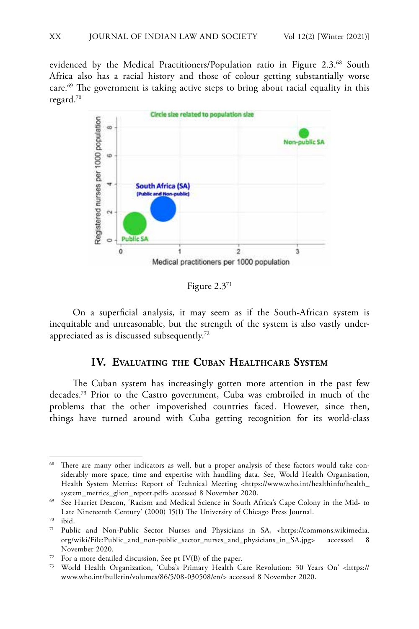evidenced by the Medical Practitioners/Population ratio in Figure 2.3.<sup>68</sup> South Africa also has a racial history and those of colour getting substantially worse care.<sup>69</sup> The government is taking active steps to bring about racial equality in this regard.70



Figure 2.371

On a superficial analysis, it may seem as if the South-African system is inequitable and unreasonable, but the strength of the system is also vastly underappreciated as is discussed subsequently.72

#### **IV. Evaluating the Cuban Healthcare System**

The Cuban system has increasingly gotten more attention in the past few decades.73 Prior to the Castro government, Cuba was embroiled in much of the problems that the other impoverished countries faced. However, since then, things have turned around with Cuba getting recognition for its world-class

<sup>68</sup> There are many other indicators as well, but a proper analysis of these factors would take considerably more space, time and expertise with handling data. See, World Health Organisation, Health System Metrics: Report of Technical Meeting <https://www.who.int/healthinfo/health\_ system\_metrics\_glion\_report.pdf> accessed 8 November 2020.

<sup>69</sup> See Harriet Deacon, 'Racism and Medical Science in South Africa's Cape Colony in the Mid- to Late Nineteenth Century' (2000) 15(1) The University of Chicago Press Journal.

 $^{70}$  ibid.<br> $^{71}$  Publ

Public and Non-Public Sector Nurses and Physicians in SA, <https://commons.wikimedia. org/wiki/File:Public\_and\_non-public\_sector\_nurses\_and\_physicians\_in\_SA.jpg> accessed 8 November 2020.

<sup>72</sup> For a more detailed discussion, See pt IV(B) of the paper.

<sup>73</sup> World Health Organization, 'Cuba's Primary Health Care Revolution: 30 Years On' <https:// www.who.int/bulletin/volumes/86/5/08-030508/en/> accessed 8 November 2020.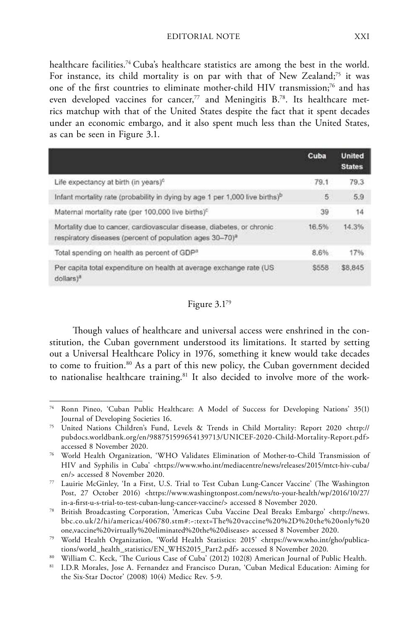healthcare facilities.<sup>74</sup> Cuba's healthcare statistics are among the best in the world. For instance, its child mortality is on par with that of New Zealand;<sup>75</sup> it was one of the first countries to eliminate mother-child HIV transmission;<sup>76</sup> and has even developed vaccines for cancer,<sup>77</sup> and Meningitis B.<sup>78</sup>. Its healthcare metrics matchup with that of the United States despite the fact that it spent decades under an economic embargo, and it also spent much less than the United States, as can be seen in Figure 3.1.

|                                                                                                                                                | Cuba        | <b>United</b><br><b>States</b> |
|------------------------------------------------------------------------------------------------------------------------------------------------|-------------|--------------------------------|
| Life expectancy at birth (in years) <sup>c</sup>                                                                                               | 79.1        | 79.3                           |
| Infant mortality rate (probability in dying by age 1 per 1,000 live births) <sup>b</sup>                                                       | 5.          | 5.9                            |
| Maternal mortality rate (per 100,000 live births) <sup>c</sup>                                                                                 | 39          | 14                             |
| Mortality due to cancer, cardiovascular disease, diabetes, or chronic-<br>respiratory diseases (percent of population ages 30-70) <sup>a</sup> | 16.5%       | 14.3%                          |
| Total spending on health as percent of GDP <sup>a</sup>                                                                                        | 8.6%        | 17%                            |
| Per capita total expenditure on health at average exchange rate (US)<br>dollars) <sup>a</sup>                                                  | <b>S558</b> | \$8,845                        |

#### Figure 3.179

Though values of healthcare and universal access were enshrined in the constitution, the Cuban government understood its limitations. It started by setting out a Universal Healthcare Policy in 1976, something it knew would take decades to come to fruition.<sup>80</sup> As a part of this new policy, the Cuban government decided to nationalise healthcare training.<sup>81</sup> It also decided to involve more of the work-

Ronn Pineo, 'Cuban Public Healthcare: A Model of Success for Developing Nations' 35(1) Journal of Developing Societies 16.

<sup>75</sup> United Nations Children's Fund, Levels & Trends in Child Mortality: Report 2020 <http:// pubdocs.worldbank.org/en/988751599654139713/UNICEF-2020-Child-Mortality-Report.pdf> accessed 8 November 2020.

<sup>76</sup> World Health Organization, 'WHO Validates Elimination of Mother-to-Child Transmission of HIV and Syphilis in Cuba' <https://www.who.int/mediacentre/news/releases/2015/mtct-hiv-cuba/ en/> accessed 8 November 2020.

<sup>77</sup> Lauirie McGinley, 'In a First, U.S. Trial to Test Cuban Lung-Cancer Vaccine' (The Washington Post, 27 October 2016) <https://www.washingtonpost.com/news/to-your-health/wp/2016/10/27/ in-a-first-u-s-trial-to-test-cuban-lung-cancer-vaccine/> accessed 8 November 2020.

<sup>78</sup> British Broadcasting Corporation, 'Americas Cuba Vaccine Deal Breaks Embargo' <http://news. bbc.co.uk/2/hi/americas/406780.stm#:~:text=The%20vaccine%20%2D%20the%20only%20 one,vaccine%20virtually%20eliminated%20the%20disease> accessed 8 November 2020.

<sup>79</sup> World Health Organization, 'World Health Statistics: 2015' <https://www.who.int/gho/publications/world\_health\_statistics/EN\_WHS2015\_Part2.pdf> accessed 8 November 2020.

<sup>80</sup> William C. Keck, 'The Curious Case of Cuba' (2012) 102(8) American Journal of Public Health.

<sup>81</sup> I.D.R Morales, Jose A. Fernandez and Francisco Duran, 'Cuban Medical Education: Aiming for the Six-Star Doctor' (2008) 10(4) Medicc Rev. 5-9.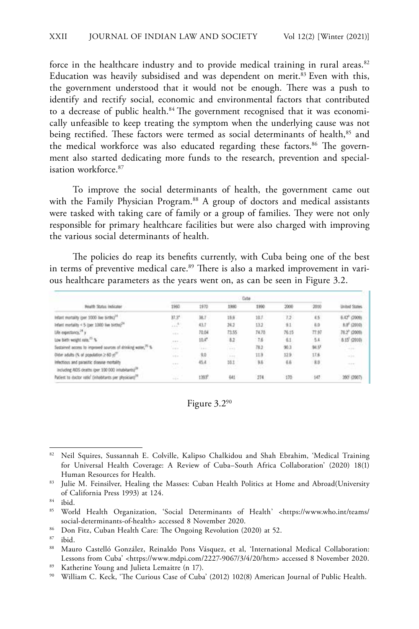force in the healthcare industry and to provide medical training in rural areas.<sup>82</sup> Education was heavily subsidised and was dependent on merit.<sup>83</sup> Even with this, the government understood that it would not be enough. There was a push to identify and rectify social, economic and environmental factors that contributed to a decrease of public health.<sup>84</sup> The government recognised that it was economically unfeasible to keep treating the symptom when the underlying cause was not being rectified. These factors were termed as social determinants of health,<sup>85</sup> and the medical workforce was also educated regarding these factors.<sup>86</sup> The government also started dedicating more funds to the research, prevention and specialisation workforce.<sup>87</sup>

To improve the social determinants of health, the government came out with the Family Physician Program.<sup>88</sup> A group of doctors and medical assistants were tasked with taking care of family or a group of families. They were not only responsible for primary healthcare facilities but were also charged with improving the various social determinants of health.

The policies do reap its benefits currently, with Cuba being one of the best in terms of preventive medical care.<sup>89</sup> There is also a marked improvement in various healthcare parameters as the years went on, as can be seen in Figure 3.2.

| <b>Realth Status Indicates</b>                                          | Cuba                                                                                                                      |                   |                   |                         |        |       |                           |
|-------------------------------------------------------------------------|---------------------------------------------------------------------------------------------------------------------------|-------------------|-------------------|-------------------------|--------|-------|---------------------------|
|                                                                         | 1960                                                                                                                      | 1970              | 1980              | 1990                    | 2000   | 2010  | <b><i>Inhad State</i></b> |
| Infant mortality (per 1000 live births) <sup>21</sup>                   | 37.3 <sup>4</sup>                                                                                                         | 38.T              | 19.6              | <b>Contract</b><br>10.7 | 12.    | 85    | 6.42° (2009)              |
| Infant mortality < 5 (per 1000 live hirths) <sup>24</sup>               | $\mathcal{L}^{(4)}$                                                                                                       | 43.7              | 24.2              | 13.2                    | 9.1    | 6.9   | K.0 <sup>r</sup> (2010)   |
| Life expectance. <sup>24</sup> y                                        | $\frac{1}{2} \left( \frac{1}{2} \right) \left( \frac{1}{2} \right) \left( \frac{1}{2} \right) \left( \frac{1}{2} \right)$ | 70.04             | 73.55             | 74.70                   | 76.15  | 77.97 | 78.2" (2009)              |
| Low birth weight rate. <sup>27</sup> %                                  | <b>TEL-</b>                                                                                                               | 10.4"             | 12                | 7.5                     | 6.1    | 5.4   | 8.15 (2010)               |
| Sustained access to improved sources of drinking water, <sup>27</sup> % | in c                                                                                                                      | Call of           | n.                | 78.2                    | 90.3   | 94.57 | 70                        |
| Older adults (% of population 2 60 y) <sup>27</sup>                     |                                                                                                                           | \$.0              | n er<br>Children. | 11.0                    | 12.9   | 17.5  | $-100$                    |
| Infectious and parasitic disease mortality                              | $\sim$ $\sim$ $\sim$                                                                                                      | 45.4              | 10.1              | 9.6                     | 6.6    | 8.0   | $\sim$ 0.00               |
| including AIDS deaths (per 100-000 inhabitants) <sup>38</sup>           | ur                                                                                                                        |                   |                   | <b>CONTRACTOR</b>       | w      |       |                           |
| Patient to doctor ratio (inhobitants per physician) <sup>19</sup>       | and a<br>$-1$                                                                                                             | 1393 <sup>0</sup> | 641               | 274                     | $-170$ | 147   |                           |

#### Figure 3.290

- <sup>86</sup> Don Fitz, Cuban Health Care: The Ongoing Revolution (2020) at 52.
- <sup>87</sup> ibid.

- <sup>89</sup> Katherine Young and Julieta Lemaitre (n 17).
- <sup>90</sup> William C. Keck, 'The Curious Case of Cuba' (2012) 102(8) American Journal of Public Health.

<sup>82</sup> Neil Squires, Sussannah E. Colville, Kalipso Chalkidou and Shah Ebrahim, 'Medical Training for Universal Health Coverage: A Review of Cuba–South Africa Collaboration' (2020) 18(1) Human Resources for Health.

<sup>83</sup> Julie M. Feinsilver, Healing the Masses: Cuban Health Politics at Home and Abroad(University of California Press 1993) at 124.

<sup>84</sup> ibid.

<sup>85</sup> World Health Organization, 'Social Determinants of Health' <https://www.who.int/teams/ social-determinants-of-health> accessed 8 November 2020.

<sup>88</sup> Mauro Castelló González, Reinaldo Pons Vásquez, et al, 'International Medical Collaboration: Lessons from Cuba' <https://www.mdpi.com/2227-9067/3/4/20/htm> accessed 8 November 2020.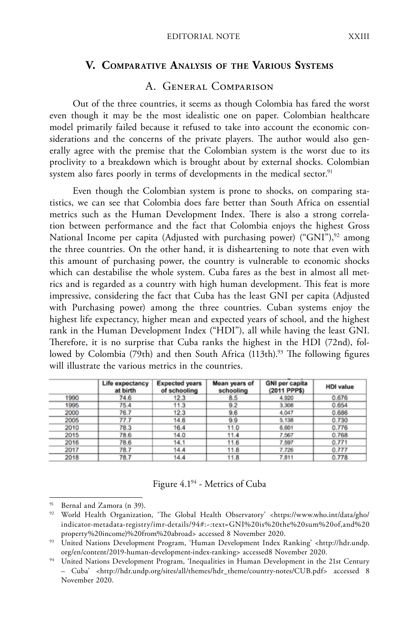#### **V. Comparative Analysis of the Various Systems**

#### A. General Comparison

Out of the three countries, it seems as though Colombia has fared the worst even though it may be the most idealistic one on paper. Colombian healthcare model primarily failed because it refused to take into account the economic considerations and the concerns of the private players. The author would also generally agree with the premise that the Colombian system is the worst due to its proclivity to a breakdown which is brought about by external shocks. Colombian system also fares poorly in terms of developments in the medical sector.<sup>91</sup>

Even though the Colombian system is prone to shocks, on comparing statistics, we can see that Colombia does fare better than South Africa on essential metrics such as the Human Development Index. There is also a strong correlation between performance and the fact that Colombia enjoys the highest Gross National Income per capita (Adjusted with purchasing power) ("GNI"),<sup>92</sup> among the three countries. On the other hand, it is disheartening to note that even with this amount of purchasing power, the country is vulnerable to economic shocks which can destabilise the whole system. Cuba fares as the best in almost all metrics and is regarded as a country with high human development. This feat is more impressive, considering the fact that Cuba has the least GNI per capita (Adjusted with Purchasing power) among the three countries. Cuban systems enjoy the highest life expectancy, higher mean and expected years of school, and the highest rank in the Human Development Index ("HDI"), all while having the least GNI. Therefore, it is no surprise that Cuba ranks the highest in the HDI (72nd), followed by Colombia (79th) and then South Africa (113th).<sup>93</sup> The following figures will illustrate the various metrics in the countries.

|      | Life expectancy<br>at birth | <b>Expected years</b><br>of schooling | Mean years of<br>schooling | <b>GNI per capita</b><br>(2011 PPP\$) | <b>HDI</b> value |
|------|-----------------------------|---------------------------------------|----------------------------|---------------------------------------|------------------|
| 1990 | 74.6                        | 12.3                                  | 8.5                        | 4.920                                 | 0.676            |
| 1995 | 75.4                        | 11.3                                  | 9.2                        | 3,308                                 | 0.654            |
| 2000 | 76.7                        | 12.3                                  | 9.6                        | 4.047                                 | 0.686            |
| 2005 | 77.7                        | 14.6                                  | 9.9                        | 5,138                                 | 0.730            |
| 2010 | 78.3                        | 16.4                                  | 11.0                       | 6,601                                 | 0.776            |
| 2015 | 78.6                        | 14.0                                  | 11.4                       | 7.567                                 | 0.768            |
| 2016 | 78.6                        | 14.1                                  | 11.6                       | 7.597                                 | 0.771            |
| 2017 | 78.7                        | 14.4                                  | 11.8                       | 7.726                                 | 0.777            |
| 2018 | 78.7                        | 14.4                                  | 11.8                       | 7.811                                 | 0.778            |

#### Figure 4.194 - Metrics of Cuba

Bernal and Zamora (n 39).

<sup>92</sup> World Health Organization, 'The Global Health Observatory' <https://www.who.int/data/gho/ indicator-metadata-registry/imr-details/94#:~:text=GNI%20is%20the%20sum%20of,and%20 property%20income)%20from%20abroad> accessed 8 November 2020.

<sup>93</sup> United Nations Development Program, 'Human Development Index Ranking' <http://hdr.undp. org/en/content/2019-human-development-index-ranking> accessed8 November 2020.

<sup>94</sup> United Nations Development Program, 'Inequalities in Human Development in the 21st Century – Cuba' <http://hdr.undp.org/sites/all/themes/hdr\_theme/country-notes/CUB.pdf> accessed 8 November 2020.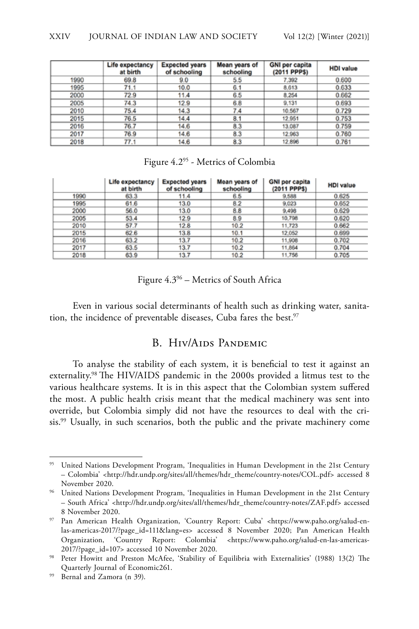|      | Life expectancy<br>at birth | <b>Expected years</b><br>of schooling | Mean years of<br>schooling | <b>GNI per capita</b><br>(2011 PPPS) | <b>HDI</b> value |
|------|-----------------------------|---------------------------------------|----------------------------|--------------------------------------|------------------|
| 1990 | 69.8                        | 9.0                                   | 5.5                        | 7,392                                | 0.600            |
| 1995 | 71.1                        | 10.0                                  | 6.1                        | 8.613                                | 0.633            |
| 2000 | 72.9                        | 11.4                                  | 6.5                        | 8,254                                | 0.662            |
| 2005 | 74.3                        | 12.9                                  | 6.8                        | 9,131                                | 0.693            |
| 2010 | 75.4                        | 14.3                                  | 7.4                        | 10.567                               | 0.729            |
| 2015 | 76.5                        | 14.4                                  | 8.1                        | 12,951                               | 0.753            |
| 2016 | 76.7                        | 14.6                                  | 8.3                        | 13,087                               | 0.759            |
| 2017 | 76.9                        | 14.6                                  | 8.3                        | 12,963                               | 0.760            |
| 2018 | 77.1                        | 14.6                                  | 8.3                        | 12,896                               | 0.761            |

#### Figure 4.295 - Metrics of Colombia

|      | Life expectancy<br>at birth | <b>Expected years</b><br>of schooling | Mean years of<br>schooling | <b>GNI per capita</b><br>(2011 PPP\$) | <b>HDI</b> value |
|------|-----------------------------|---------------------------------------|----------------------------|---------------------------------------|------------------|
| 1990 | 63.3                        | 11.4                                  | 6.5                        | 9,588                                 | 0.625            |
| 1995 | 61.6                        | 13.0                                  | 8.2                        | 9,023                                 | 0.652            |
| 2000 | 56.0                        | 13.0                                  | 8.8                        | 9,498                                 | 0.629            |
| 2005 | 53.4                        | 12.9                                  | 8.9                        | 10,798                                | 0.620            |
| 2010 | 57.7                        | 12.8                                  | 10.2                       | 11,723                                | 0.662            |
| 2015 | 62.6                        | 13.8                                  | 10.1                       | 12.052                                | 0.699            |
| 2016 | 63.2                        | 13.7                                  | 10.2                       | 11,908                                | 0.702            |
| 2017 | 63.5                        | 13.7                                  | 10.2                       | 11,864                                | 0.704            |
| 2018 | 63.9                        | 13.7                                  | 10.2                       | 11,756                                | 0.705            |

Figure 4.396 – Metrics of South Africa

Even in various social determinants of health such as drinking water, sanitation, the incidence of preventable diseases, Cuba fares the best.<sup>97</sup>

#### B. Hiv/Aids Pandemic

To analyse the stability of each system, it is beneficial to test it against an externality.98 The HIV/AIDS pandemic in the 2000s provided a litmus test to the various healthcare systems. It is in this aspect that the Colombian system suffered the most. A public health crisis meant that the medical machinery was sent into override, but Colombia simply did not have the resources to deal with the crisis.99 Usually, in such scenarios, both the public and the private machinery come

<sup>&</sup>lt;sup>95</sup> United Nations Development Program, 'Inequalities in Human Development in the 21st Century – Colombia' <http://hdr.undp.org/sites/all/themes/hdr\_theme/country-notes/COL.pdf> accessed 8 November 2020.

<sup>&</sup>lt;sup>96</sup> United Nations Development Program, 'Inequalities in Human Development in the 21st Century – South Africa' <http://hdr.undp.org/sites/all/themes/hdr\_theme/country-notes/ZAF.pdf> accessed 8 November 2020.

<sup>97</sup> Pan American Health Organization, 'Country Report: Cuba' <https://www.paho.org/salud-enlas-americas-2017/?page\_id=111&lang=es> accessed 8 November 2020; Pan American Health Organization, 'Country Report: Colombia' <https://www.paho.org/salud-en-las-americas-2017/?page\_id=107> accessed 10 November 2020.

<sup>&</sup>lt;sup>98</sup> Peter Howitt and Preston McAfee, 'Stability of Equilibria with Externalities' (1988) 13(2) The Quarterly Journal of Economic261.

<sup>99</sup> Bernal and Zamora (n 39).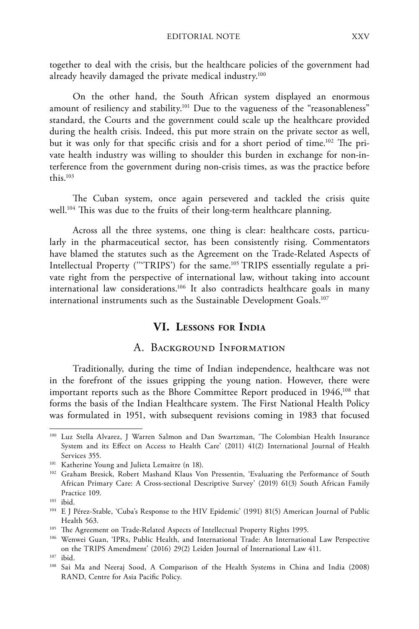together to deal with the crisis, but the healthcare policies of the government had already heavily damaged the private medical industry.<sup>100</sup>

On the other hand, the South African system displayed an enormous amount of resiliency and stability.<sup>101</sup> Due to the vagueness of the "reasonableness" standard, the Courts and the government could scale up the healthcare provided during the health crisis. Indeed, this put more strain on the private sector as well, but it was only for that specific crisis and for a short period of time.<sup>102</sup> The private health industry was willing to shoulder this burden in exchange for non-interference from the government during non-crisis times, as was the practice before this.103

The Cuban system, once again persevered and tackled the crisis quite well.<sup>104</sup> This was due to the fruits of their long-term healthcare planning.

Across all the three systems, one thing is clear: healthcare costs, particularly in the pharmaceutical sector, has been consistently rising. Commentators have blamed the statutes such as the Agreement on the Trade-Related Aspects of Intellectual Property ('''TRIPS') for the same.105 TRIPS essentially regulate a private right from the perspective of international law, without taking into account international law considerations.106 It also contradicts healthcare goals in many international instruments such as the Sustainable Development Goals.<sup>107</sup>

### **VI. Lessons for India**

#### A. Background Information

Traditionally, during the time of Indian independence, healthcare was not in the forefront of the issues gripping the young nation. However, there were important reports such as the Bhore Committee Report produced in 1946,<sup>108</sup> that forms the basis of the Indian Healthcare system. The First National Health Policy was formulated in 1951, with subsequent revisions coming in 1983 that focused

<sup>100</sup> Luz Stella Alvarez, J Warren Salmon and Dan Swartzman, 'The Colombian Health Insurance System and its Effect on Access to Health Care' (2011) 41(2) International Journal of Health Services 355.

<sup>101</sup> Katherine Young and Julieta Lemaitre (n 18).

<sup>102</sup> Graham Bresick, Robert Mashand Klaus Von Pressentin, 'Evaluating the Performance of South African Primary Care: A Cross-sectional Descriptive Survey' (2019) 61(3) South African Family Practice 109.

<sup>103</sup> ibid.

<sup>104</sup> E J Pérez-Stable, 'Cuba's Response to the HIV Epidemic' (1991) 81(5) American Journal of Public Health 563.

<sup>&</sup>lt;sup>105</sup> The Agreement on Trade-Related Aspects of Intellectual Property Rights 1995.

<sup>106</sup> Wenwei Guan, 'IPRs, Public Health, and International Trade: An International Law Perspective on the TRIPS Amendment' (2016) 29(2) Leiden Journal of International Law 411.

<sup>107</sup> ibid.

<sup>108</sup> Sai Ma and Neeraj Sood, A Comparison of the Health Systems in China and India (2008) RAND, Centre for Asia Pacific Policy.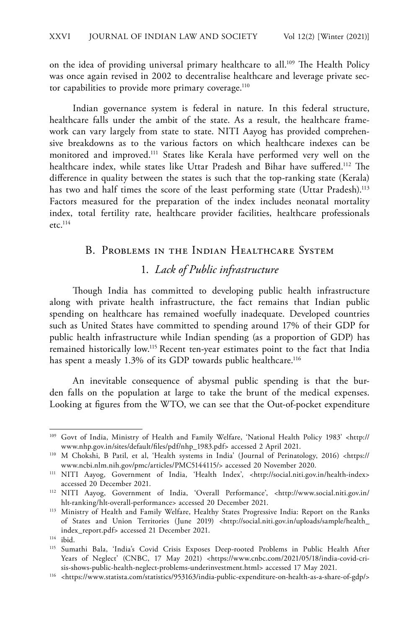on the idea of providing universal primary healthcare to all.<sup>109</sup> The Health Policy was once again revised in 2002 to decentralise healthcare and leverage private sector capabilities to provide more primary coverage.<sup>110</sup>

Indian governance system is federal in nature. In this federal structure, healthcare falls under the ambit of the state. As a result, the healthcare framework can vary largely from state to state. NITI Aayog has provided comprehensive breakdowns as to the various factors on which healthcare indexes can be monitored and improved.111 States like Kerala have performed very well on the healthcare index, while states like Uttar Pradesh and Bihar have suffered.<sup>112</sup> The difference in quality between the states is such that the top-ranking state (Kerala) has two and half times the score of the least performing state (Uttar Pradesh).<sup>113</sup> Factors measured for the preparation of the index includes neonatal mortality index, total fertility rate, healthcare provider facilities, healthcare professionals etc. $114$ 

#### B. Problems in the Indian Healthcare System

# 1. *Lack of Public infrastructure*

Though India has committed to developing public health infrastructure along with private health infrastructure, the fact remains that Indian public spending on healthcare has remained woefully inadequate. Developed countries such as United States have committed to spending around 17% of their GDP for public health infrastructure while Indian spending (as a proportion of GDP) has remained historically low.115 Recent ten-year estimates point to the fact that India has spent a measly 1.3% of its GDP towards public healthcare.<sup>116</sup>

An inevitable consequence of abysmal public spending is that the burden falls on the population at large to take the brunt of the medical expenses. Looking at figures from the WTO, we can see that the Out-of-pocket expenditure

<sup>109</sup> Govt of India, Ministry of Health and Family Welfare, 'National Health Policy 1983' <http:// www.nhp.gov.in/sites/default/files/pdf/nhp\_1983.pdf> accessed 2 April 2021.

<sup>110</sup> M Chokshi, B Patil, et al, 'Health systems in India' (Journal of Perinatology, 2016) <https:// www.ncbi.nlm.nih.gov/pmc/articles/PMC5144115/> accessed 20 November 2020.

<sup>&</sup>lt;sup>111</sup> NITI Aayog, Government of India, 'Health Index', <http://social.niti.gov.in/health-index> accessed 20 December 2021.

<sup>112</sup> NITI Aayog, Government of India, 'Overall Performance', <http://www.social.niti.gov.in/ hlt-ranking/hlt-overall-performance> accessed 20 December 2021.

<sup>&</sup>lt;sup>113</sup> Ministry of Health and Family Welfare, Healthy States Progressive India: Report on the Ranks of States and Union Territories (June 2019) <http://social.niti.gov.in/uploads/sample/health\_ index\_report.pdf> accessed 21 December 2021.

 $114$  ibid.

<sup>115</sup> Sumathi Bala, 'India's Covid Crisis Exposes Deep-rooted Problems in Public Health After Years of Neglect' (CNBC, 17 May 2021) <https://www.cnbc.com/2021/05/18/india-covid-crisis-shows-public-health-neglect-problems-underinvestment.html> accessed 17 May 2021.

<sup>116</sup> <https://www.statista.com/statistics/953163/india-public-expenditure-on-health-as-a-share-of-gdp/>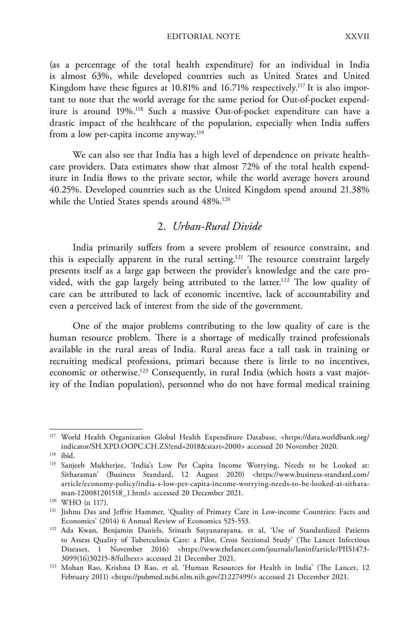(as a percentage of the total health expenditure) for an individual in India is almost 63%, while developed countries such as United States and United Kingdom have these figures at 10.81% and 16.71% respectively.<sup>117</sup> It is also important to note that the world average for the same period for Out-of-pocket expenditure is around 19%.118 Such a massive Out-of-pocket expenditure can have a drastic impact of the healthcare of the population, especially when India suffers from a low per-capita income anyway.<sup>119</sup>

We can also see that India has a high level of dependence on private healthcare providers. Data estimates show that almost 72% of the total health expenditure in India flows to the private sector, while the world average hovers around 40.25%. Developed countries such as the United Kingdom spend around 21.38% while the Untied States spends around 48%.<sup>120</sup>

## 2. *Urban-Rural Divide*

India primarily suffers from a severe problem of resource constraint, and this is especially apparent in the rural setting.121 The resource constraint largely presents itself as a large gap between the provider's knowledge and the care provided, with the gap largely being attributed to the latter.<sup>122</sup> The low quality of care can be attributed to lack of economic incentive, lack of accountability and even a perceived lack of interest from the side of the government.

One of the major problems contributing to the low quality of care is the human resource problem. There is a shortage of medically trained professionals available in the rural areas of India. Rural areas face a tall task in training or recruiting medical professions, primari because there is little to no incentives, economic or otherwise.<sup>123</sup> Consequently, in rural India (which hosts a vast majority of the Indian population), personnel who do not have formal medical training

<sup>117</sup> World Health Organization Global Health Expenditure Database, <https://data.worldbank.org/ indicator/SH.XPD.OOPC.CH.ZS?end=2018&start=2000> accessed 20 November 2020.

<sup>118</sup> ibid.

<sup>119</sup> Sanjeeb Mukherjee, 'India's Low Per Capita Income Worrying, Needs to be Looked at: Sitharaman' (Business Standard, 12 August 2020) <https://www.business-standard.com/ article/economy-policy/india-s-low-per-capita-income-worrying-needs-to-be-looked-at-sitharaman-120081201518\_1.html> accessed 20 December 2021.

<sup>120</sup> WHO (n 117).

<sup>121</sup> Jishnu Das and Jeffrie Hammer, 'Quality of Primary Care in Low-income Countries: Facts and Economics' (2014) 6 Annual Review of Economics 525-553.

<sup>122</sup> Ada Kwan, Benjamin Daniels, Srinath Satyanarayana, et al, 'Use of Standardized Patients to Assess Quality of Tuberculosis Care: a Pilot, Cross Sectional Study' (The Lancet Infectious Diseases, 1 November 2016) <https://www.thelancet.com/journals/laninf/article/PIIS1473- 3099(16)30215-8/fulltext> accessed 21 December 2021.

<sup>123</sup> Mohan Rao, Krishna D Rao, et al, 'Human Resources for Health in India' (The Lancet, 12 February 2011) <https://pubmed.ncbi.nlm.nih.gov/21227499/> accessed 21 December 2021.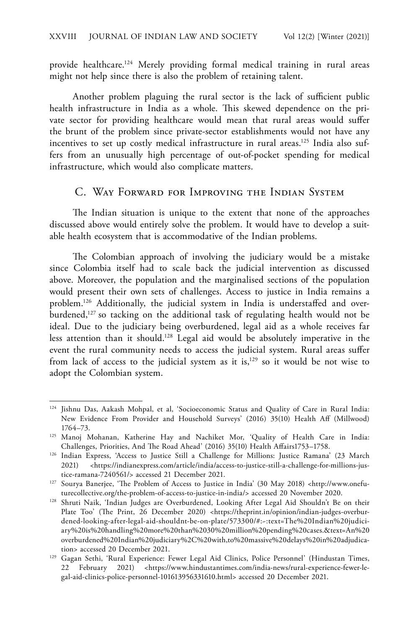provide healthcare.<sup>124</sup> Merely providing formal medical training in rural areas might not help since there is also the problem of retaining talent.

Another problem plaguing the rural sector is the lack of sufficient public health infrastructure in India as a whole. This skewed dependence on the private sector for providing healthcare would mean that rural areas would suffer the brunt of the problem since private-sector establishments would not have any incentives to set up costly medical infrastructure in rural areas.<sup>125</sup> India also suffers from an unusually high percentage of out-of-pocket spending for medical infrastructure, which would also complicate matters.

#### C. Way Forward for Improving the Indian System

The Indian situation is unique to the extent that none of the approaches discussed above would entirely solve the problem. It would have to develop a suitable health ecosystem that is accommodative of the Indian problems.

The Colombian approach of involving the judiciary would be a mistake since Colombia itself had to scale back the judicial intervention as discussed above. Moreover, the population and the marginalised sections of the population would present their own sets of challenges. Access to justice in India remains a problem.126 Additionally, the judicial system in India is understaffed and overburdened,<sup>127</sup> so tacking on the additional task of regulating health would not be ideal. Due to the judiciary being overburdened, legal aid as a whole receives far less attention than it should.128 Legal aid would be absolutely imperative in the event the rural community needs to access the judicial system. Rural areas suffer from lack of access to the judicial system as it is, $129$  so it would be not wise to adopt the Colombian system.

<sup>&</sup>lt;sup>124</sup> Jishnu Das, Aakash Mohpal, et al, 'Socioeconomic Status and Quality of Care in Rural India: New Evidence From Provider and Household Surveys' (2016) 35(10) Health Aff (Millwood) 1764–73.

<sup>125</sup> Manoj Mohanan, Katherine Hay and Nachiket Mor, 'Quality of Health Care in India: Challenges, Priorities, And The Road Ahead' (2016) 35(10) Health Affairs1753–1758.

<sup>126</sup> Indian Express, 'Access to Justice Still a Challenge for Millions: Justice Ramana' (23 March 2021) <https://indianexpress.com/article/india/access-to-justice-still-a-challenge-for-millions-justice-ramana-7240561/> accessed 21 December 2021.

<sup>&</sup>lt;sup>127</sup> Sourya Banerjee, 'The Problem of Access to Justice in India' (30 May 2018) <http://www.onefuturecollective.org/the-problem-of-access-to-justice-in-india/> accessed 20 November 2020.

<sup>128</sup> Shruti Naik, 'Indian Judges are Overburdened, Looking After Legal Aid Shouldn't Be on their Plate Too' (The Print, 26 December 2020) <https://theprint.in/opinion/indian-judges-overburdened-looking-after-legal-aid-shouldnt-be-on-plate/573300/#:~:text=The%20Indian%20judiciary%20is%20handling%20more%20than%2030%20million%20pending%20cases.&text=An%20 overburdened%20Indian%20judiciary%2C%20with,to%20massive%20delays%20in%20adjudication> accessed 20 December 2021.

<sup>&</sup>lt;sup>129</sup> Gagan Sethi, 'Rural Experience: Fewer Legal Aid Clinics, Police Personnel' (Hindustan Times, 22 February 2021) <https://www.hindustantimes.com/india-news/rural-experience-fewer-legal-aid-clinics-police-personnel-101613956331610.html> accessed 20 December 2021.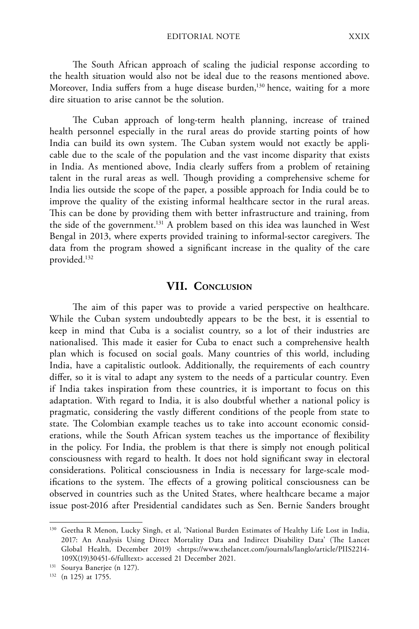The South African approach of scaling the judicial response according to the health situation would also not be ideal due to the reasons mentioned above. Moreover, India suffers from a huge disease burden,<sup>130</sup> hence, waiting for a more dire situation to arise cannot be the solution.

The Cuban approach of long-term health planning, increase of trained health personnel especially in the rural areas do provide starting points of how India can build its own system. The Cuban system would not exactly be applicable due to the scale of the population and the vast income disparity that exists in India. As mentioned above, India clearly suffers from a problem of retaining talent in the rural areas as well. Though providing a comprehensive scheme for India lies outside the scope of the paper, a possible approach for India could be to improve the quality of the existing informal healthcare sector in the rural areas. This can be done by providing them with better infrastructure and training, from the side of the government.131 A problem based on this idea was launched in West Bengal in 2013, where experts provided training to informal-sector caregivers. The data from the program showed a significant increase in the quality of the care provided.132

#### **VII. Conclusion**

The aim of this paper was to provide a varied perspective on healthcare. While the Cuban system undoubtedly appears to be the best, it is essential to keep in mind that Cuba is a socialist country, so a lot of their industries are nationalised. This made it easier for Cuba to enact such a comprehensive health plan which is focused on social goals. Many countries of this world, including India, have a capitalistic outlook. Additionally, the requirements of each country differ, so it is vital to adapt any system to the needs of a particular country. Even if India takes inspiration from these countries, it is important to focus on this adaptation. With regard to India, it is also doubtful whether a national policy is pragmatic, considering the vastly different conditions of the people from state to state. The Colombian example teaches us to take into account economic considerations, while the South African system teaches us the importance of flexibility in the policy. For India, the problem is that there is simply not enough political consciousness with regard to health. It does not hold significant sway in electoral considerations. Political consciousness in India is necessary for large-scale modifications to the system. The effects of a growing political consciousness can be observed in countries such as the United States, where healthcare became a major issue post-2016 after Presidential candidates such as Sen. Bernie Sanders brought

<sup>130</sup> Geetha R Menon, Lucky Singh, et al, 'National Burden Estimates of Healthy Life Lost in India, 2017: An Analysis Using Direct Mortality Data and Indirect Disability Data' (The Lancet Global Health, December 2019) <https://www.thelancet.com/journals/langlo/article/PIIS2214-109X(19)30451-6/fulltext> accessed 21 December 2021.

<sup>131</sup> Sourya Banerjee (n 127).

<sup>132</sup> (n 125) at 1755.